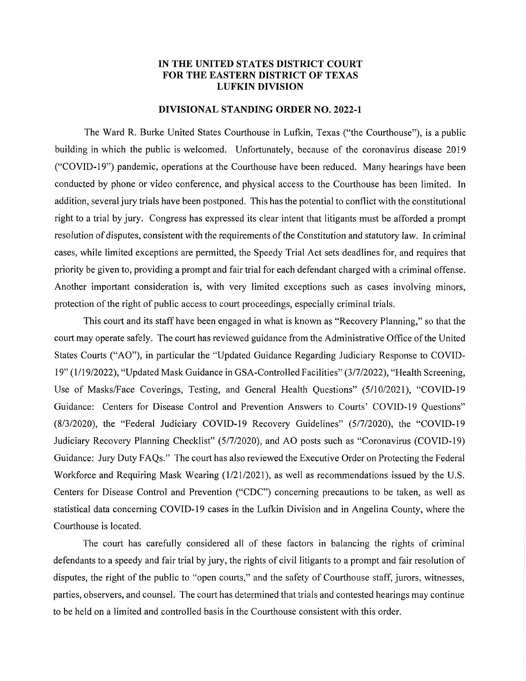## IN THE UNITED STATES DISTRICT COURT FOR THE EASTERN DISTRICT OF TEXAS LUFKIN DIVISION

## DIVISIONAL STANDING ORDER NO. 2022-1

The Ward R. Burke United States Courthouse in Lufkin, Texas ("the Courthouse"), is a public building in which the public is welcomed. Unfortunately, because of the coronavirus disease 2019 ("COVID-19") pandemic, operations at the Courthouse have been reduced. Many hearings have been conducted by phone or video conference, and physical access to the Courthouse has been limited. In addition, several jury trials have been postponed. This has the potential to conflict with the constitutional right to a trial by jury. Congress has expressed its clear intent that litigants must be afforded a prompt resolution of disputes, consistent with the requirements of the Constitution and statutory law. In criminal cases, while limited exceptions are permitted, the Speedy Trial Act sets deadlines for, and requires that priority be given to, providing a prompt and fair trial for each defendant charged with a criminal offense. Another important consideration is, with very limited exceptions such as cases involving minors, protection of the right of public access to court proceedings, especially criminal trials.

This court and its staff have been engaged in what is known as "Recovery Planning," so that the court may operate safely. The court has reviewed guidance from the Administrative Office of the United States Courts ("AO"), in particular the "Updated Guidance Regarding Judiciary Response to COVID-19" (1/19/2022), "Updated Mask Guidance in GSA-Controlled Facilities" (3/7/2022), "Health Screening, Use of Masks/Face Coverings, Testing, and General Health Questions" (5/10/2021), "COVID-19 Guidance: Centers for Disease Control and Prevention Answers to Courts' COVID-19 Questions" (8/3/2020), the "Federal Judiciary COVID-19 Recovery Guidelines" (5/7/2020), the "COVID-19 Judiciary Recovery Planning Checklist" (5/7/2020), and AO posts such as "Coronavirus (COVID-19) Guidance: Jury Duty FAQs." The court has also reviewed the Executive Order on Protecting the Federal Workforce and Requiring Mask Wearing (1/21/2021), as well as recommendations issued by the U.S. Centers for Disease Control and Prevention ("CDC") concerning precautions to be taken, as well as statistical data concerning COVID-19 cases in the Lufkin Division and in Angelina County, where the Courthouse is located.

The court has carefully considered all of these factors in balancing the rights of criminal defendants to a speedy and fair trial by jury, the rights of civil litigants to a prompt and fair resolution of disputes, the right of the public to "open courts," and the safety of Courthouse staff, jurors, witnesses, parties, observers, and counsel. The court has determined that trials and contested hearings may continue to be held on a limited and controlled basis in the Courthouse consistent with this order.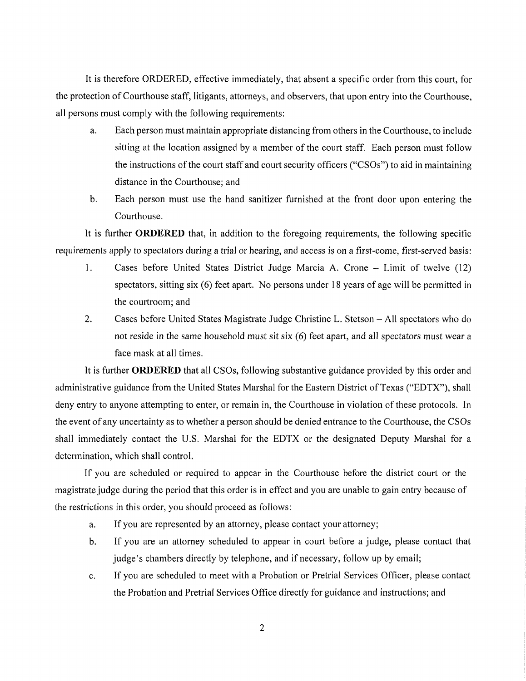It is therefore ORDERED, effective immediately, that absent a specific order from this court, for the protection of Courthouse staff, litigants, attorneys, and observers, that upon entry into the Courthouse, all persons must comply with the following requirements:

- a. Each person must maintain appropriate distancing from others in the Courthouse, to include sitting at the location assigned by a member of the court staff. Each person must follow the instructions of the court staff and court security officers ("CSOs") to aid in maintaining distance in the Courthouse; and
- b. Each person must use the hand sanitizer furnished at the front door upon entering the Courthouse.

It is further **ORDERED** that, in addition to the foregoing requirements, the following specific requirements apply to spectators during a trial or hearing, and access is on a first-come, first-served basis:

- 1. Cases before United States District Judge Marcia A. Crone Limit of twelve (12) spectators, sitting six (6) feet apart. No persons under 18 years of age will be permitted in the courtroom; and
- 2. Cases before United States Magistrate Judge Christine L. Stetson All spectators who do not reside in the same household must sit six (6) feet apart, and all spectators must wear a face mask at all times.

It is further ORDERED that all CSOs, following substantive guidance provided by this order and administrative guidance from the United States Marshal for the Eastern District of Texas ("EDTX"), shall deny entry to anyone attempting to enter, or remain in, the Courthouse in violation of these protocols. In the event of any uncertainty as to whether a person should be denied entrance to the Courthouse, the CSOs shall immediately contact the U.S. Marshal for the EDTX or the designated Deputy Marshal for a determination, which shall control.

If you are scheduled or required to appear in the Courthouse before the district court or the magistrate judge during the period that this order is in effect and you are unable to gain entry because of the restrictions in this order, you should proceed as follows:

- a. If you are represented by an attorney, please contact your attorney;
- b. If you are an attorney scheduled to appear in court before a judge, please contact that judge's chambers directly by telephone, and if necessary, follow up by email;
- c. If you are scheduled to meet with a Probation or Pretrial Services Officer, please contact the Probation and Pretrial Services Office directly for guidance and instructions; and